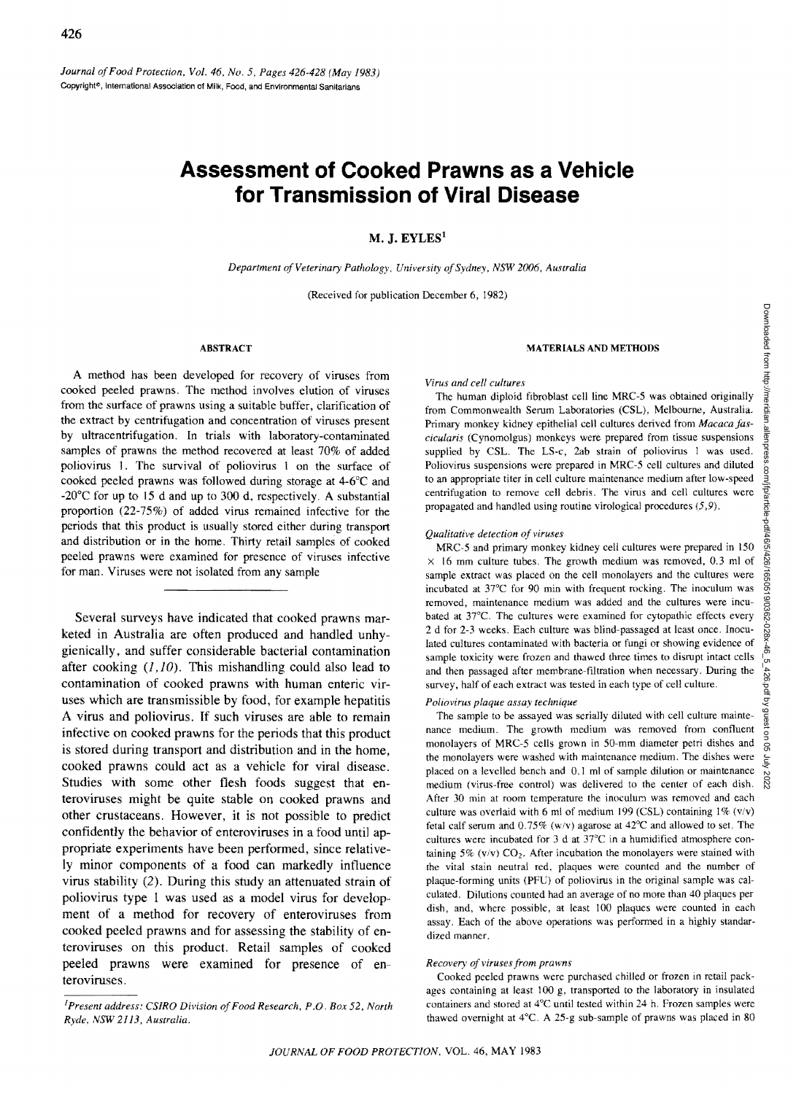# **Assessment of Cooked Prawns as a Vehicle for Transmission of Viral Disease**

# M. J.  $EYLES<sup>1</sup>$

*Department of Veterinary Pathology, University of Sydney, NSW 2006, Australia* 

(Received for publication December 6, 1982)

#### ABSTRACT

A method has been developed for recovery of viruses from cooked peeled prawns. The method involves elution of viruses from the surface of prawns using a suitable buffer, clarification of the extract by centrifugation and concentration of viruses present by ultracentrifugation. In trials with laboratory-contaminated samples of prawns the method recovered at least 70% of added poliovirus 1. The survival of poliovirus I on the surface of cooked peeled prawns was followed during storage at 4-6°C and  $-20^{\circ}$ C for up to 15 d and up to 300 d, respectively. A substantial proportion (22-75%) of added virus remained infective for the periods that this product is usually stored either during transport and distribution or in the home. Thirty retail samples of cooked peeled prawns were examined for presence of viruses infective for man. Viruses were not isolated from any sample

Several surveys have indicated that cooked prawns marketed in Australia are often produced and handled unhygienically, and suffer considerable bacterial contamination after cooking  $(1, 10)$ . This mishandling could also lead to contamination of cooked prawns with human enteric viruses which are transmissible by food, for example hepatitis A virus and poliovirus. If such viruses are able to remain infective on cooked prawns for the periods that this product is stored during transport and distribution and in the home, cooked prawns could act as a vehicle for viral disease. Studies with some other flesh foods suggest that enteroviruses might be quite stable on cooked prawns and other crustaceans. However, it is not possible to predict confidently the behavior of enteroviruses in a food until appropriate experiments have been performed, since relatively minor components of a food can markedly influence virus stability (2). During this study an attenuated strain of poliovirus type 1 was used as a model virus for development of a method for recovery of enteroviruses from cooked peeled prawns and for assessing the stability of enteroviruses on this product. Retail samples of cooked peeled prawns were examined for presence of enteroviruses.

## *[Present address: CSJRO Division of Food Research, P.O. Box* 52, *North Ryde, NSW* 2113, *Australia.*

## MATERIALS AND METHODS

#### *Virus and cell cultures*

The human diploid fibroblast cell line MRC-S was obtained originally from Commonwealth Serum Laboratories (CSL), Melbourne, Australia. Primary monkey kidney epithelial cell cultures derived from *Macaca fascicularis* (Cynomolgus) monkeys were prepared from tissue suspensions supplied by CSL. The LS-c, 2ab strain of poliovirus 1 was used. Poliovirus suspensions were prepared in MRC-S cell cultures and diluted to an appropriate titer in cell culture maintenance medium after low-speed centrifugation to remove cell debris. The virus and cell cultures were propagated and handled using routine virological procedures (5,9).

## *Qualitative detection of viru.ses*

MRC-5 and primary monkey kidney cell cultures were prepared in 150  $\times$  16 mm culture tubes. The growth medium was removed, 0.3 ml of sample extract was placed on the cell monolayers and the cultures were incubated at *3TC* for 90 min with frequent rocking. The inoculum was removed, maintenance medium was added and the cultures were incubated at 37°C. The cultures were examined for cytopathic effects every 2 d for 2-3 weeks. Each culture was blind-passaged at least once. Inoculated cultures contaminated with bacteria or fungi or showing evidence of sample toxicity were frozen and thawed three times to disrupt intact cells and then passaged after membrane-filtration when necessary. During the survey, half of each extract was tested in each type of cell culture.

### *Poliovirus plaque assay technique*

The sample to be assayed was serially diluted with cell culture maintenance medium. The growth medium was removed from confluent monolayers of MRC-5 cells grown in 50-mm diameter petri dishes and the monolayers were washed with maintenance medium. The dishes were placed on a levelled bench and 0.1 ml of sample dilution or maintenance medium (virus-free control) was delivered to the center of each dish. After 30 min at room temperature the inoculum was removed and each culture was overlaid with 6 ml of medium 199 (CSL) containing  $1\%$  (v/v) fetal calf serum and  $0.75\%$  (w/v) agarose at 42<sup>o</sup>C and allowed to set. The cultures were incubated for 3 d at 37°C in a humidified atmosphere containing 5% ( $v/v$ )  $CO<sub>2</sub>$ . After incubation the monolayers were stained with the vital stain neutral red. plaques were counted and the number of plaque-forming units (PHI) of poliovirus in the original sample was calculated. Dilutions counted had an average of no more than 40 plaques per dish, and, where possible, at least 100 plaques were counted in each assay. Each of the above operations was performed in a highly standardized manner.

#### *Recovery of viruses from prawns*

Cooked peeled prawns were purchased chilled or frozen in retail packages containing at least 100 g. transported to the laboratory in insulated containers and stored at 4°C until tested within 24 h. Frozen samples were thawed overnight at 4°C. A 25-g sub-sample of prawns was placed in 80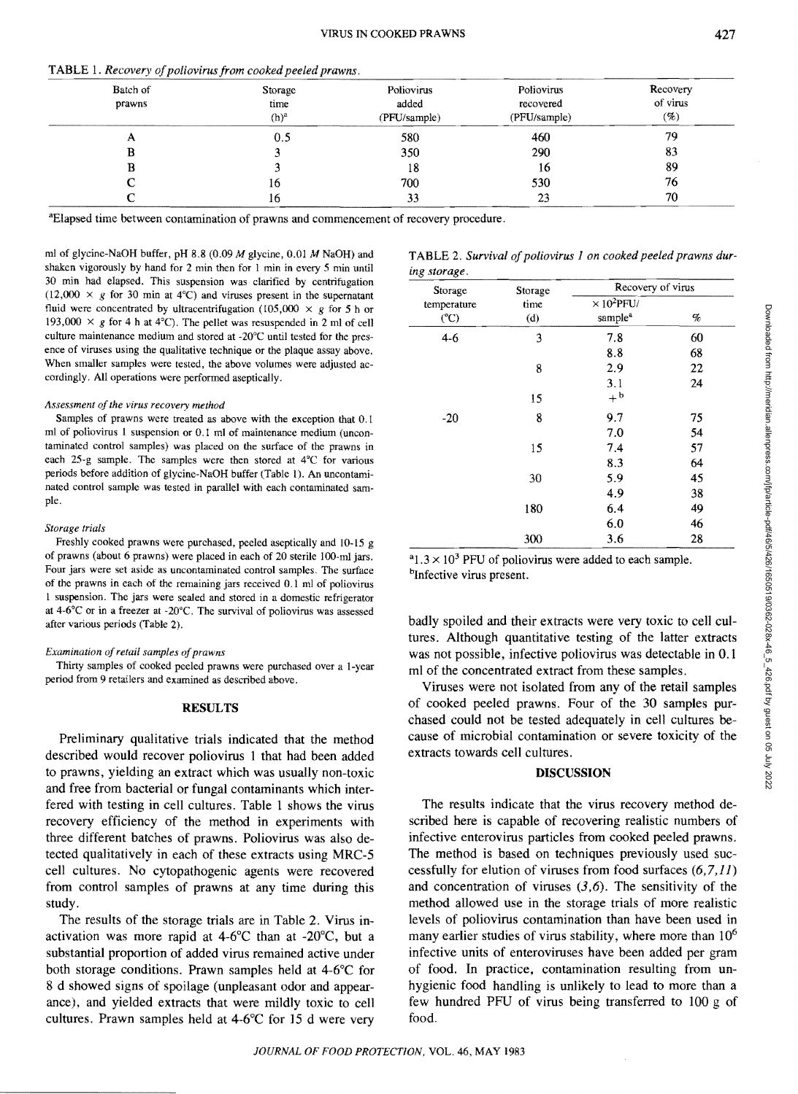| Batch of | Storage          | Poliovirus   | Poliovirus   | Recovery            |
|----------|------------------|--------------|--------------|---------------------|
| prawns   | time             | added        | recovered    | of virus            |
|          | (h) <sup>a</sup> | (PFU/sample) | (PFU/sample) | $\left( \% \right)$ |
|          | 0.5              | 580          | 460          | 79                  |
|          |                  | 350          | 290          | 83                  |
|          |                  | 18           | 16           | 89                  |
|          | 16               | 700          | 530          | 76                  |
|          | 16               | 33           | 23           | 70                  |

TABLE 1. Recovery of poliovirus from cooked peeled prawns

aElapsed time between contamination of prawns and commencement of recovery procedure.

mI of glycine-NaOH buffer, pH 8.8 (0.09 M glycine, 0.01 M NaOH) and shaken vigorously by hand for 2 min then for 1 min in every 5 min until 30 min had elapsed. This suspension was clarified by centrifugation  $(12,000 \times g$  for 30 min at 4°C) and viruses present in the supernatant fluid were concentrated by ultracentrifugation (105,000  $\times$  g for 5 h or 193,000  $\times$  g for 4 h at 4°C). The pellet was resuspended in 2 ml of cell culture maintenance medium and stored at -20°C until tested for the presence of viruses using the qualitative technique or the plaque assay above. When smaller samples were tested, the above volumes were adjusted accordingly. All operations were performed aseptically.

#### *Assessment of the virus recovery method*

Samples of prawns were treated as above with the exception that 0.1 ml of poliovirus I suspension or 0.1 ml of maintenance medium (uncontaminated control samples) was placed on the surface of the prawns in each 25-g sample. The samples were then stored at 4°C for various periods before addition of glycine-NaOH buffer (Table I). An uncontaminated control sample was tested in parallel with each contaminated sample.

#### *Storage trials*

Freshly cooked prawns were purchased, peeled aseptically and 10-15 g of prawns (about 6 prawns) were placed in each of 20 sterile 100-ml jars. Four jars were set aside as uncontaminated control samplcs. The surface of the prawns in each of the remaining jars received 0.1 ml of poliovirus I suspension. The jars were sealed and stored in a domestic refrigerator at  $4.6^{\circ}$ C or in a freezer at  $-20^{\circ}$ C. The survival of poliovirus was assessed after various periods (Table 2).

## *Examination of retail samples of prawns*

Thirty samples of cooked peeled prawns were purchased over a I-ycar period from 9 retailers and examined as described above.

## RESULTS

Preliminary qualitative trials indicated that the method described would recover poliovirus 1 that had been added to prawns, yielding an extract which was usually non-toxic and free from bacterial or fungal contaminants which interfered with testing in cell cultures. Table 1 shows the virus recovery efficiency of the method in experiments with three different batches of prawns. Poliovirus was also detected qualitatively in each of these extracts using MRC-5 cell cultures. No cytopathogenic agents were recovered from control samples of prawns at any time during this study.

The results of the storage trials are in Table 2. Virus inactivation was more rapid at 4-6°C than at -20°C, but a substantial proportion of added virus remained active under both storage conditions. Prawn samples held at 4-6°C for 8 d showed signs of spoilage (unpleasant odor and appearance), and yielded extracts that were mildly toxic to cell cultures. Prawn samples held at 4-6°C for 15 d were very

|              | TABLE 2. Survival of poliovirus 1 on cooked peeled prawns dur- |  |  |  |
|--------------|----------------------------------------------------------------|--|--|--|
| ing storage. |                                                                |  |  |  |

| Storage            | Storage<br>time<br>(d) | Recovery of virus                         |    |  |
|--------------------|------------------------|-------------------------------------------|----|--|
| temperature<br>(C) |                        | $\times 10^2$ PFU/<br>sample <sup>a</sup> | %  |  |
| $4-6$              | 3                      | 7.8                                       | 60 |  |
|                    |                        | 8.8                                       | 68 |  |
|                    | 8                      | 2.9                                       | 22 |  |
|                    |                        | 3.1                                       | 24 |  |
|                    | 15                     | $+^{\rm b}$                               |    |  |
| $-20$              | 8                      | 9.7                                       | 75 |  |
|                    |                        | 7.0                                       | 54 |  |
|                    | 15                     | 7.4                                       | 57 |  |
|                    |                        | 8.3                                       | 64 |  |
|                    | 30                     | 5.9                                       | 45 |  |
|                    |                        | 4.9                                       | 38 |  |
|                    | 180                    | 6.4                                       | 49 |  |
|                    |                        | 6.0                                       | 46 |  |
|                    | 300                    | 3.6                                       | 28 |  |

 $a_{1.3} \times 10^3$  PFU of poliovirus were added to each sample. bInfective virus present.

badly spoiled and their extracts were very toxic to cell cultures. Although quantitative testing of the latter extracts was not possible, infective poliovirus was detectable in 0.1 ml of the concentrated extract from these samples.

Viruses were not isolated from any of the retail samples of cooked peeled prawns. Four of the 30 samples purchased could not be tested adequately in cell cultures because of microbial contamination or severe toxicity of the extracts towards cell cultures.

## DISCUSSION

The results indicate that the virus recovery method described here is capable of recovering realistic numbers of infective enterovirus particles from cooked peeled prawns. The method is based on techniques previously used successfully for elution of viruses from food surfaces  $(6,7,11)$ and concentration of viruses  $(3,6)$ . The sensitivity of the method allowed use in the storage trials of more realistic levels of poliovirus contamination than have been used in many earlier studies of virus stability, where more than  $10^6$ infective units of enteroviruses have been added per gram of food. In practice, contamination resulting from unhygienic food handling is unlikely to lead to more than a few hundred PFU of virus being transferred to 100 g of food.